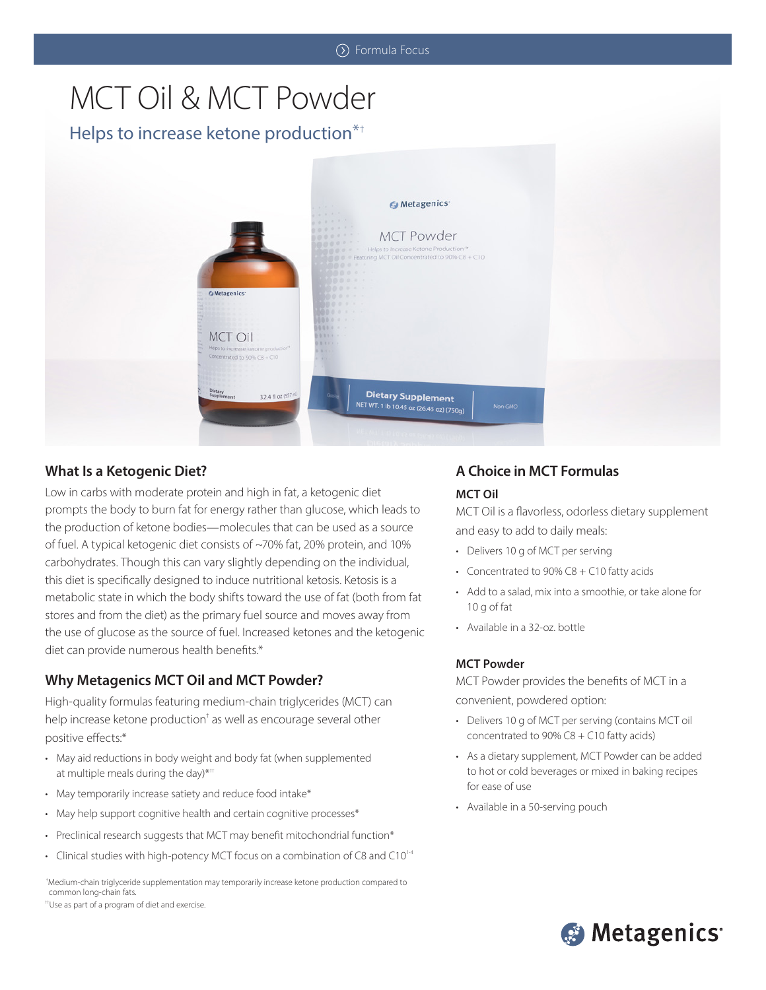# MCT Oil & MCT Powder

## Helps to increase ketone production\*†



## **What Is a Ketogenic Diet?**

Low in carbs with moderate protein and high in fat, a ketogenic diet prompts the body to burn fat for energy rather than glucose, which leads to the production of ketone bodies—molecules that can be used as a source of fuel. A typical ketogenic diet consists of ~70% fat, 20% protein, and 10% carbohydrates. Though this can vary slightly depending on the individual, this diet is specifically designed to induce nutritional ketosis. Ketosis is a metabolic state in which the body shifts toward the use of fat (both from fat stores and from the diet) as the primary fuel source and moves away from the use of glucose as the source of fuel. Increased ketones and the ketogenic diet can provide numerous health benefits.\*

## **Why Metagenics MCT Oil and MCT Powder?**

High-quality formulas featuring medium-chain triglycerides (MCT) can help increase ketone production<sup>†</sup> as well as encourage several other positive effects:\*

- May aid reductions in body weight and body fat (when supplemented at multiple meals during the day)\*<sup>++</sup>
- May temporarily increase satiety and reduce food intake\*
- May help support cognitive health and certain cognitive processes\*
- Preclinical research suggests that MCT may benefit mitochondrial function\*
- Clinical studies with high-potency MCT focus on a combination of C8 and C10<sup>14</sup>

 †Medium-chain triglyceride supplementation may temporarily increase ketone production compared to common long-chain fats.

††Use as part of a program of diet and exercise.

# **A Choice in MCT Formulas**

#### **MCT Oil**

MCT Oil is a flavorless, odorless dietary supplement and easy to add to daily meals:

- Delivers 10 g of MCT per serving
- Concentrated to 90% C8 + C10 fatty acids
- Add to a salad, mix into a smoothie, or take alone for 10 g of fat
- Available in a 32-oz. bottle

#### **MCT Powder**

MCT Powder provides the benefits of MCT in a convenient, powdered option:

- Delivers 10 g of MCT per serving (contains MCT oil concentrated to 90% C8 + C10 fatty acids)
- As a dietary supplement, MCT Powder can be added to hot or cold beverages or mixed in baking recipes for ease of use
- Available in a 50-serving pouch